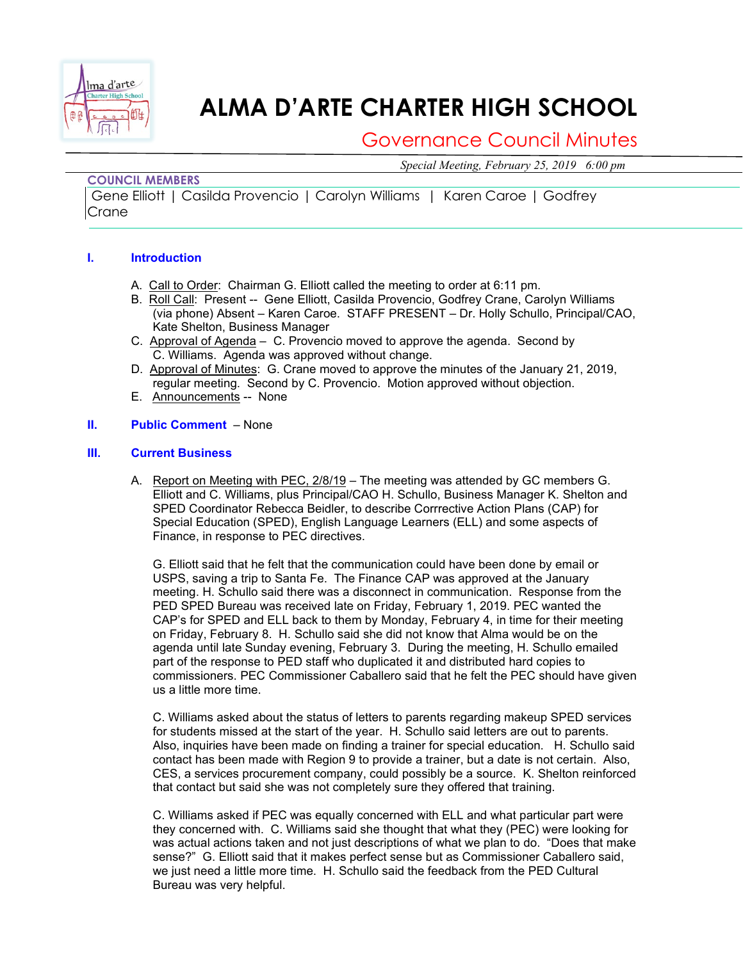

# **ALMA D'ARTE CHARTER HIGH SCHOOL**

# Governance Council Minutes

*Special Meeting, February 25, 2019 6:00 pm*

## **COUNCIL MEMBERS**

Gene Elliott | Casilda Provencio | Carolyn Williams | Karen Caroe | Godfrey Crane

### **I. Introduction**

- A. Call to Order: Chairman G. Elliott called the meeting to order at 6:11 pm.
- B. Roll Call: Present -- Gene Elliott, Casilda Provencio, Godfrey Crane, Carolyn Williams (via phone) Absent – Karen Caroe. STAFF PRESENT – Dr. Holly Schullo, Principal/CAO, Kate Shelton, Business Manager
- C. Approval of Agenda C. Provencio moved to approve the agenda. Second by C. Williams. Agenda was approved without change.
- D. Approval of Minutes: G. Crane moved to approve the minutes of the January 21, 2019, regular meeting. Second by C. Provencio. Motion approved without objection.
- E. Announcements -- None

#### **II. Public Comment** – None

#### **III. Current Business**

A. Report on Meeting with PEC, 2/8/19 – The meeting was attended by GC members G. Elliott and C. Williams, plus Principal/CAO H. Schullo, Business Manager K. Shelton and SPED Coordinator Rebecca Beidler, to describe Corrrective Action Plans (CAP) for Special Education (SPED), English Language Learners (ELL) and some aspects of Finance, in response to PEC directives.

G. Elliott said that he felt that the communication could have been done by email or USPS, saving a trip to Santa Fe. The Finance CAP was approved at the January meeting. H. Schullo said there was a disconnect in communication. Response from the PED SPED Bureau was received late on Friday, February 1, 2019. PEC wanted the CAP's for SPED and ELL back to them by Monday, February 4, in time for their meeting on Friday, February 8. H. Schullo said she did not know that Alma would be on the agenda until late Sunday evening, February 3. During the meeting, H. Schullo emailed part of the response to PED staff who duplicated it and distributed hard copies to commissioners. PEC Commissioner Caballero said that he felt the PEC should have given us a little more time.

C. Williams asked about the status of letters to parents regarding makeup SPED services for students missed at the start of the year. H. Schullo said letters are out to parents. Also, inquiries have been made on finding a trainer for special education. H. Schullo said contact has been made with Region 9 to provide a trainer, but a date is not certain. Also, CES, a services procurement company, could possibly be a source. K. Shelton reinforced that contact but said she was not completely sure they offered that training.

C. Williams asked if PEC was equally concerned with ELL and what particular part were they concerned with. C. Williams said she thought that what they (PEC) were looking for was actual actions taken and not just descriptions of what we plan to do. "Does that make sense?" G. Elliott said that it makes perfect sense but as Commissioner Caballero said, we just need a little more time. H. Schullo said the feedback from the PED Cultural Bureau was very helpful.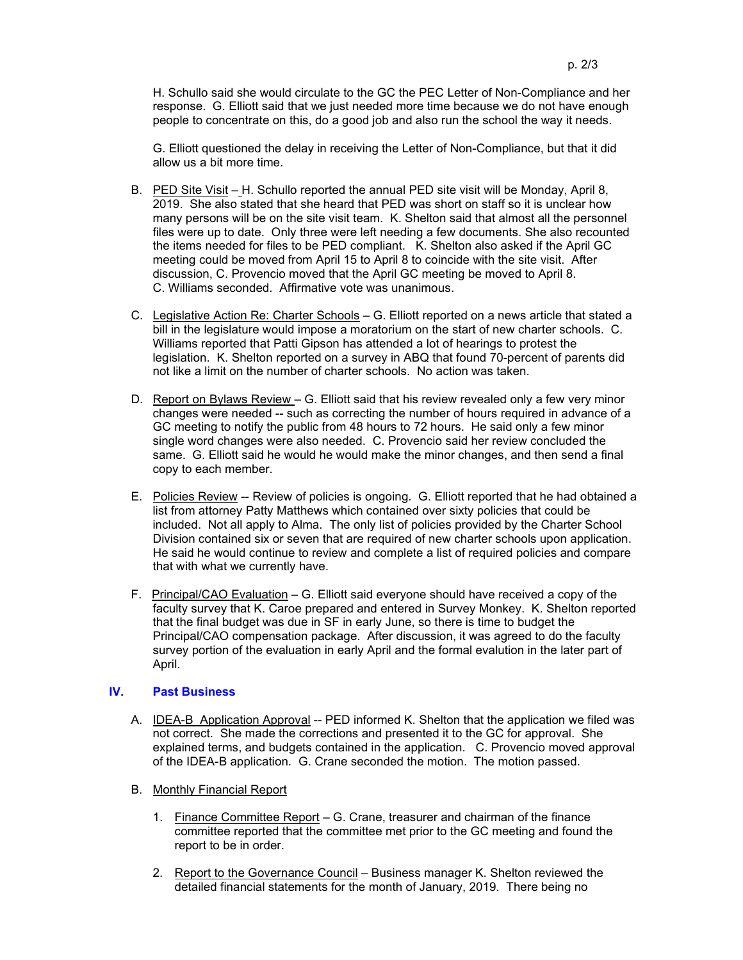H. Schullo said she would circulate to the GC the PEC Letter of Non-Compliance and her response. G. Elliott said that we just needed more time because we do not have enough people to concentrate on this, do a good job and also run the school the way it needs.

G. Elliott questioned the delay in receiving the Letter of Non-Compliance, but that it did allow us a bit more time.

- B. PED Site Visit H. Schullo reported the annual PED site visit will be Monday, April 8, 2019. She also stated that she heard that PED was short on staff so it is unclear how many persons will be on the site visit team. K. Shelton said that almost all the personnel files were up to date. Only three were left needing a few documents. She also recounted the items needed for files to be PED compliant. K. Shelton also asked if the April GC meeting could be moved from April 15 to April 8 to coincide with the site visit. After discussion, C. Provencio moved that the April GC meeting be moved to April 8. C. Williams seconded. Affirmative vote was unanimous.
- C. Legislative Action Re: Charter Schools G. Elliott reported on a news article that stated a bill in the legislature would impose a moratorium on the start of new charter schools. C. Williams reported that Patti Gipson has attended a lot of hearings to protest the legislation. K. Shelton reported on a survey in ABQ that found 70-percent of parents did not like a limit on the number of charter schools. No action was taken.
- D. Report on Bylaws Review G. Elliott said that his review revealed only a few very minor changes were needed -- such as correcting the number of hours required in advance of a GC meeting to notify the public from 48 hours to 72 hours. He said only a few minor single word changes were also needed. C. Provencio said her review concluded the same. G. Elliott said he would he would make the minor changes, and then send a final copy to each member.
- E. Policies Review -- Review of policies is ongoing. G. Elliott reported that he had obtained a list from attorney Patty Matthews which contained over sixty policies that could be included. Not all apply to Alma. The only list of policies provided by the Charter School Division contained six or seven that are required of new charter schools upon application. He said he would continue to review and complete a list of required policies and compare that with what we currently have.
- F. Principal/CAO Evaluation G. Elliott said everyone should have received a copy of the faculty survey that K. Caroe prepared and entered in Survey Monkey. K. Shelton reported that the final budget was due in SF in early June, so there is time to budget the Principal/CAO compensation package. After discussion, it was agreed to do the faculty survey portion of the evaluation in early April and the formal evalution in the later part of April.

#### **IV. Past Business**

- A. IDEA-B Application Approval -- PED informed K. Shelton that the application we filed was not correct. She made the corrections and presented it to the GC for approval. She explained terms, and budgets contained in the application. C. Provencio moved approval of the IDEA-B application. G. Crane seconded the motion. The motion passed.
- B. Monthly Financial Report
	- 1. Finance Committee Report G. Crane, treasurer and chairman of the finance committee reported that the committee met prior to the GC meeting and found the report to be in order.
	- 2. Report to the Governance Council Business manager K. Shelton reviewed the detailed financial statements for the month of January, 2019. There being no